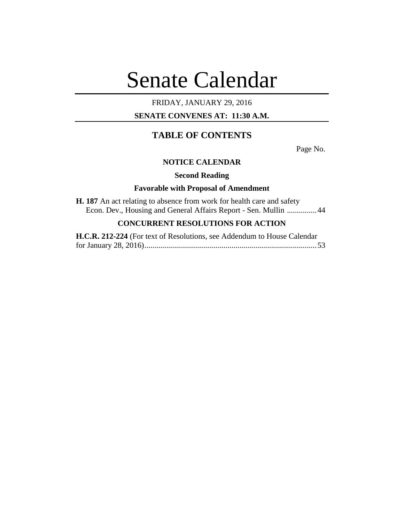# Senate Calendar

# FRIDAY, JANUARY 29, 2016

# **SENATE CONVENES AT: 11:30 A.M.**

# **TABLE OF CONTENTS**

Page No.

# **NOTICE CALENDAR**

**Second Reading**

# **Favorable with Proposal of Amendment**

|  |  | <b>H.</b> 187 An act relating to absence from work for health care and safety |  |  |  |  |                                                                  |  |
|--|--|-------------------------------------------------------------------------------|--|--|--|--|------------------------------------------------------------------|--|
|  |  |                                                                               |  |  |  |  | Econ. Dev., Housing and General Affairs Report - Sen. Mullin  44 |  |

# **CONCURRENT RESOLUTIONS FOR ACTION**

| H.C.R. 212-224 (For text of Resolutions, see Addendum to House Calendar |  |
|-------------------------------------------------------------------------|--|
|                                                                         |  |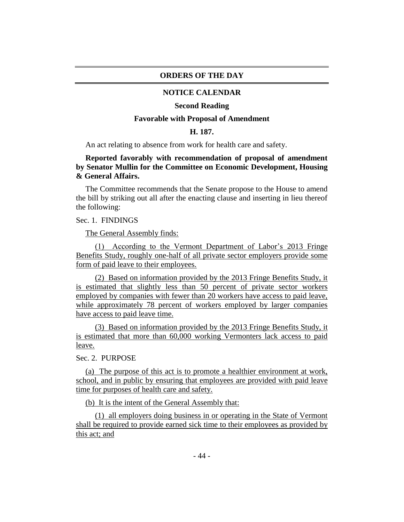#### **ORDERS OF THE DAY**

#### **NOTICE CALENDAR**

#### **Second Reading**

#### **Favorable with Proposal of Amendment**

#### **H. 187.**

An act relating to absence from work for health care and safety.

# **Reported favorably with recommendation of proposal of amendment by Senator Mullin for the Committee on Economic Development, Housing & General Affairs.**

The Committee recommends that the Senate propose to the House to amend the bill by striking out all after the enacting clause and inserting in lieu thereof the following:

#### Sec. 1. FINDINGS

The General Assembly finds:

(1) According to the Vermont Department of Labor's 2013 Fringe Benefits Study, roughly one-half of all private sector employers provide some form of paid leave to their employees.

(2) Based on information provided by the 2013 Fringe Benefits Study, it is estimated that slightly less than 50 percent of private sector workers employed by companies with fewer than 20 workers have access to paid leave, while approximately 78 percent of workers employed by larger companies have access to paid leave time.

(3) Based on information provided by the 2013 Fringe Benefits Study, it is estimated that more than 60,000 working Vermonters lack access to paid leave.

## Sec. 2. PURPOSE

(a) The purpose of this act is to promote a healthier environment at work, school, and in public by ensuring that employees are provided with paid leave time for purposes of health care and safety.

(b) It is the intent of the General Assembly that:

(1) all employers doing business in or operating in the State of Vermont shall be required to provide earned sick time to their employees as provided by this act; and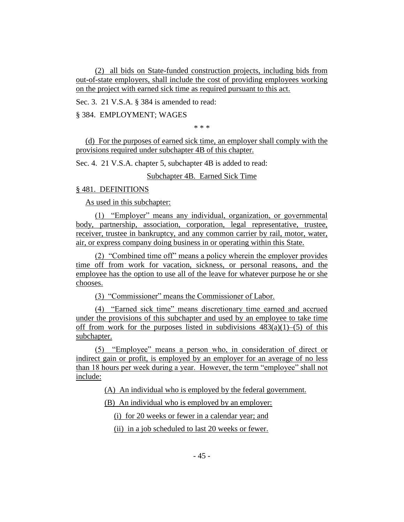(2) all bids on State-funded construction projects, including bids from out-of-state employers, shall include the cost of providing employees working on the project with earned sick time as required pursuant to this act.

Sec. 3. 21 V.S.A. § 384 is amended to read:

§ 384. EMPLOYMENT; WAGES

\* \* \*

(d) For the purposes of earned sick time, an employer shall comply with the provisions required under subchapter 4B of this chapter.

Sec. 4. 21 V.S.A. chapter 5, subchapter 4B is added to read:

Subchapter 4B. Earned Sick Time

### § 481. DEFINITIONS

As used in this subchapter:

(1) "Employer" means any individual, organization, or governmental body, partnership, association, corporation, legal representative, trustee, receiver, trustee in bankruptcy, and any common carrier by rail, motor, water, air, or express company doing business in or operating within this State.

(2) "Combined time off" means a policy wherein the employer provides time off from work for vacation, sickness, or personal reasons, and the employee has the option to use all of the leave for whatever purpose he or she chooses.

(3) "Commissioner" means the Commissioner of Labor.

(4) "Earned sick time" means discretionary time earned and accrued under the provisions of this subchapter and used by an employee to take time off from work for the purposes listed in subdivisions  $483(a)(1)$ –(5) of this subchapter.

(5) "Employee" means a person who, in consideration of direct or indirect gain or profit, is employed by an employer for an average of no less than 18 hours per week during a year. However, the term "employee" shall not include:

(A) An individual who is employed by the federal government.

(B) An individual who is employed by an employer:

(i) for 20 weeks or fewer in a calendar year; and

(ii) in a job scheduled to last 20 weeks or fewer.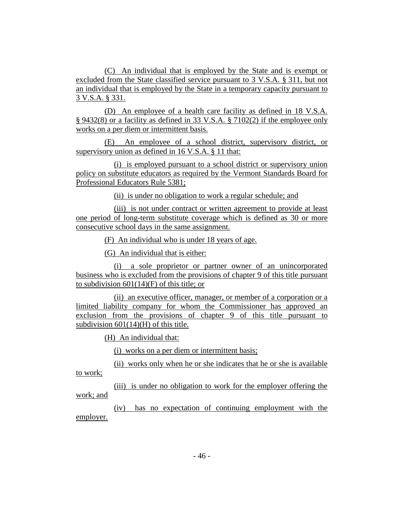(C) An individual that is employed by the State and is exempt or excluded from the State classified service pursuant to 3 V.S.A. § 311, but not an individual that is employed by the State in a temporary capacity pursuant to 3 V.S.A. § 331.

(D) An employee of a health care facility as defined in 18 V.S.A. § 9432(8) or a facility as defined in 33 V.S.A. § 7102(2) if the employee only works on a per diem or intermittent basis.

(E) An employee of a school district, supervisory district, or supervisory union as defined in 16 V.S.A. § 11 that:

(i) is employed pursuant to a school district or supervisory union policy on substitute educators as required by the Vermont Standards Board for Professional Educators Rule 5381;

(ii) is under no obligation to work a regular schedule; and

(iii) is not under contract or written agreement to provide at least one period of long-term substitute coverage which is defined as 30 or more consecutive school days in the same assignment.

(F) An individual who is under 18 years of age.

(G) An individual that is either:

(i) a sole proprietor or partner owner of an unincorporated business who is excluded from the provisions of chapter 9 of this title pursuant to subdivision  $601(14)(F)$  of this title; or

(ii) an executive officer, manager, or member of a corporation or a limited liability company for whom the Commissioner has approved an exclusion from the provisions of chapter 9 of this title pursuant to subdivision 601(14)(H) of this title.

(H) An individual that:

(i) works on a per diem or intermittent basis;

(ii) works only when he or she indicates that he or she is available

to work;

(iii) is under no obligation to work for the employer offering the work; and

(iv) has no expectation of continuing employment with the employer.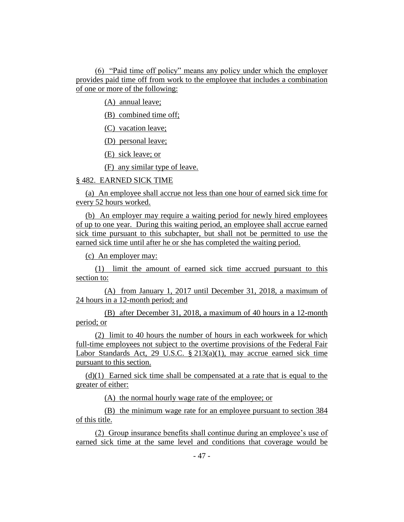(6) "Paid time off policy" means any policy under which the employer provides paid time off from work to the employee that includes a combination of one or more of the following:

(A) annual leave;

(B) combined time off;

(C) vacation leave;

(D) personal leave;

(E) sick leave; or

(F) any similar type of leave.

## § 482. EARNED SICK TIME

(a) An employee shall accrue not less than one hour of earned sick time for every 52 hours worked.

(b) An employer may require a waiting period for newly hired employees of up to one year. During this waiting period, an employee shall accrue earned sick time pursuant to this subchapter, but shall not be permitted to use the earned sick time until after he or she has completed the waiting period.

(c) An employer may:

(1) limit the amount of earned sick time accrued pursuant to this section to:

(A) from January 1, 2017 until December 31, 2018, a maximum of 24 hours in a 12-month period; and

(B) after December 31, 2018, a maximum of 40 hours in a 12-month period; or

(2) limit to 40 hours the number of hours in each workweek for which full-time employees not subject to the overtime provisions of the Federal Fair Labor Standards Act, 29 U.S.C. § 213(a)(1), may accrue earned sick time pursuant to this section.

(d)(1) Earned sick time shall be compensated at a rate that is equal to the greater of either:

(A) the normal hourly wage rate of the employee; or

(B) the minimum wage rate for an employee pursuant to section 384 of this title.

(2) Group insurance benefits shall continue during an employee's use of earned sick time at the same level and conditions that coverage would be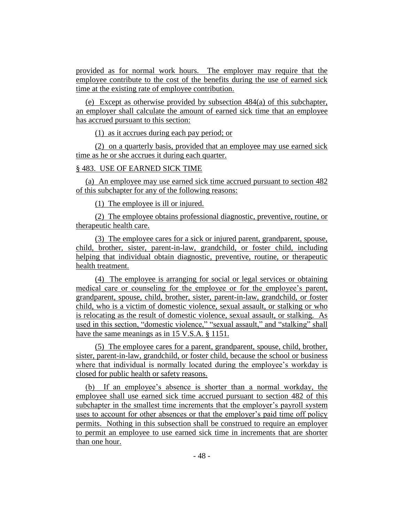provided as for normal work hours. The employer may require that the employee contribute to the cost of the benefits during the use of earned sick time at the existing rate of employee contribution.

(e) Except as otherwise provided by subsection 484(a) of this subchapter, an employer shall calculate the amount of earned sick time that an employee has accrued pursuant to this section:

(1) as it accrues during each pay period; or

(2) on a quarterly basis, provided that an employee may use earned sick time as he or she accrues it during each quarter.

# § 483. USE OF EARNED SICK TIME

(a) An employee may use earned sick time accrued pursuant to section 482 of this subchapter for any of the following reasons:

(1) The employee is ill or injured.

(2) The employee obtains professional diagnostic, preventive, routine, or therapeutic health care.

(3) The employee cares for a sick or injured parent, grandparent, spouse, child, brother, sister, parent-in-law, grandchild, or foster child, including helping that individual obtain diagnostic, preventive, routine, or therapeutic health treatment.

(4) The employee is arranging for social or legal services or obtaining medical care or counseling for the employee or for the employee's parent, grandparent, spouse, child, brother, sister, parent-in-law, grandchild, or foster child, who is a victim of domestic violence, sexual assault, or stalking or who is relocating as the result of domestic violence, sexual assault, or stalking. As used in this section, "domestic violence," "sexual assault," and "stalking" shall have the same meanings as in 15 V.S.A. § 1151.

(5) The employee cares for a parent, grandparent, spouse, child, brother, sister, parent-in-law, grandchild, or foster child, because the school or business where that individual is normally located during the employee's workday is closed for public health or safety reasons.

(b) If an employee's absence is shorter than a normal workday, the employee shall use earned sick time accrued pursuant to section 482 of this subchapter in the smallest time increments that the employer's payroll system uses to account for other absences or that the employer's paid time off policy permits. Nothing in this subsection shall be construed to require an employer to permit an employee to use earned sick time in increments that are shorter than one hour.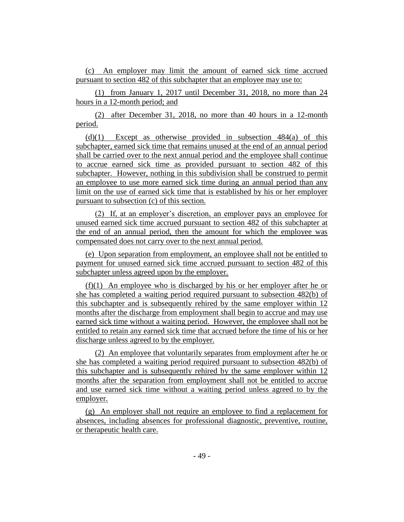(c) An employer may limit the amount of earned sick time accrued pursuant to section 482 of this subchapter that an employee may use to:

(1) from January 1, 2017 until December 31, 2018, no more than 24 hours in a 12-month period; and

(2) after December 31, 2018, no more than 40 hours in a 12-month period.

 $(d)(1)$  Except as otherwise provided in subsection 484(a) of this subchapter, earned sick time that remains unused at the end of an annual period shall be carried over to the next annual period and the employee shall continue to accrue earned sick time as provided pursuant to section 482 of this subchapter. However, nothing in this subdivision shall be construed to permit an employee to use more earned sick time during an annual period than any limit on the use of earned sick time that is established by his or her employer pursuant to subsection (c) of this section.

(2) If, at an employer's discretion, an employer pays an employee for unused earned sick time accrued pursuant to section 482 of this subchapter at the end of an annual period, then the amount for which the employee was compensated does not carry over to the next annual period.

(e) Upon separation from employment, an employee shall not be entitled to payment for unused earned sick time accrued pursuant to section 482 of this subchapter unless agreed upon by the employer.

(f)(1) An employee who is discharged by his or her employer after he or she has completed a waiting period required pursuant to subsection 482(b) of this subchapter and is subsequently rehired by the same employer within 12 months after the discharge from employment shall begin to accrue and may use earned sick time without a waiting period. However, the employee shall not be entitled to retain any earned sick time that accrued before the time of his or her discharge unless agreed to by the employer.

(2) An employee that voluntarily separates from employment after he or she has completed a waiting period required pursuant to subsection 482(b) of this subchapter and is subsequently rehired by the same employer within 12 months after the separation from employment shall not be entitled to accrue and use earned sick time without a waiting period unless agreed to by the employer.

(g) An employer shall not require an employee to find a replacement for absences, including absences for professional diagnostic, preventive, routine, or therapeutic health care.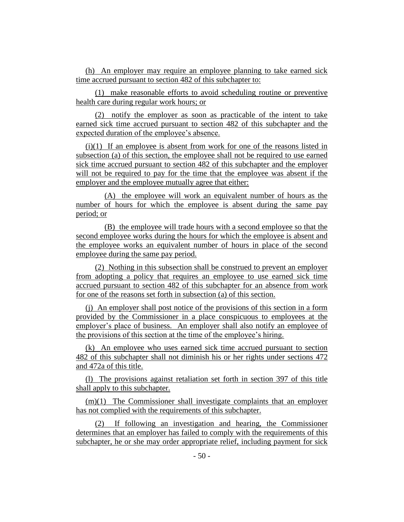(h) An employer may require an employee planning to take earned sick time accrued pursuant to section 482 of this subchapter to:

(1) make reasonable efforts to avoid scheduling routine or preventive health care during regular work hours; or

(2) notify the employer as soon as practicable of the intent to take earned sick time accrued pursuant to section 482 of this subchapter and the expected duration of the employee's absence.

(i)(1) If an employee is absent from work for one of the reasons listed in subsection (a) of this section, the employee shall not be required to use earned sick time accrued pursuant to section 482 of this subchapter and the employer will not be required to pay for the time that the employee was absent if the employer and the employee mutually agree that either:

(A) the employee will work an equivalent number of hours as the number of hours for which the employee is absent during the same pay period; or

(B) the employee will trade hours with a second employee so that the second employee works during the hours for which the employee is absent and the employee works an equivalent number of hours in place of the second employee during the same pay period.

(2) Nothing in this subsection shall be construed to prevent an employer from adopting a policy that requires an employee to use earned sick time accrued pursuant to section 482 of this subchapter for an absence from work for one of the reasons set forth in subsection (a) of this section.

(j) An employer shall post notice of the provisions of this section in a form provided by the Commissioner in a place conspicuous to employees at the employer's place of business. An employer shall also notify an employee of the provisions of this section at the time of the employee's hiring.

(k) An employee who uses earned sick time accrued pursuant to section 482 of this subchapter shall not diminish his or her rights under sections 472 and 472a of this title.

(l) The provisions against retaliation set forth in section 397 of this title shall apply to this subchapter.

(m)(1) The Commissioner shall investigate complaints that an employer has not complied with the requirements of this subchapter.

(2) If following an investigation and hearing, the Commissioner determines that an employer has failed to comply with the requirements of this subchapter, he or she may order appropriate relief, including payment for sick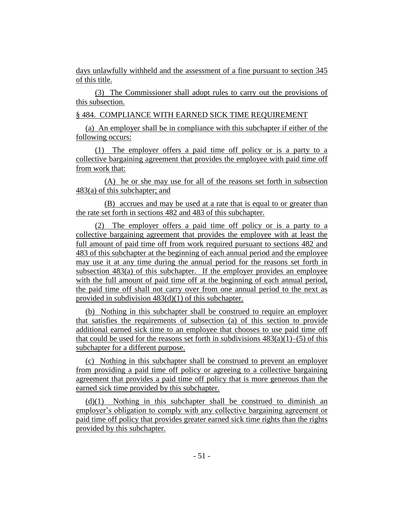days unlawfully withheld and the assessment of a fine pursuant to section 345 of this title.

(3) The Commissioner shall adopt rules to carry out the provisions of this subsection.

§ 484. COMPLIANCE WITH EARNED SICK TIME REQUIREMENT

(a) An employer shall be in compliance with this subchapter if either of the following occurs:

(1) The employer offers a paid time off policy or is a party to a collective bargaining agreement that provides the employee with paid time off from work that:

(A) he or she may use for all of the reasons set forth in subsection 483(a) of this subchapter; and

(B) accrues and may be used at a rate that is equal to or greater than the rate set forth in sections 482 and 483 of this subchapter.

(2) The employer offers a paid time off policy or is a party to a collective bargaining agreement that provides the employee with at least the full amount of paid time off from work required pursuant to sections 482 and 483 of this subchapter at the beginning of each annual period and the employee may use it at any time during the annual period for the reasons set forth in subsection 483(a) of this subchapter. If the employer provides an employee with the full amount of paid time off at the beginning of each annual period, the paid time off shall not carry over from one annual period to the next as provided in subdivision 483(d)(1) of this subchapter.

(b) Nothing in this subchapter shall be construed to require an employer that satisfies the requirements of subsection (a) of this section to provide additional earned sick time to an employee that chooses to use paid time off that could be used for the reasons set forth in subdivisions  $483(a)(1)$ –(5) of this subchapter for a different purpose.

(c) Nothing in this subchapter shall be construed to prevent an employer from providing a paid time off policy or agreeing to a collective bargaining agreement that provides a paid time off policy that is more generous than the earned sick time provided by this subchapter.

(d)(1) Nothing in this subchapter shall be construed to diminish an employer's obligation to comply with any collective bargaining agreement or paid time off policy that provides greater earned sick time rights than the rights provided by this subchapter.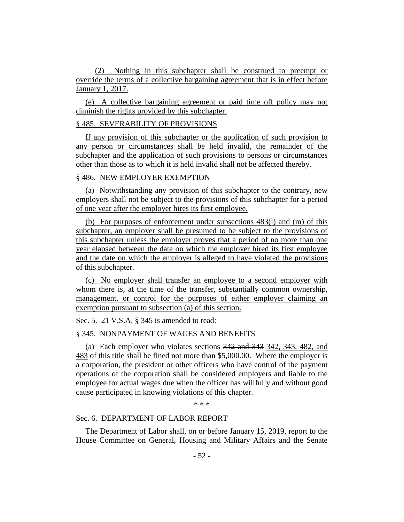(2) Nothing in this subchapter shall be construed to preempt or override the terms of a collective bargaining agreement that is in effect before January 1, 2017.

(e) A collective bargaining agreement or paid time off policy may not diminish the rights provided by this subchapter.

#### § 485. SEVERABILITY OF PROVISIONS

If any provision of this subchapter or the application of such provision to any person or circumstances shall be held invalid, the remainder of the subchapter and the application of such provisions to persons or circumstances other than those as to which it is held invalid shall not be affected thereby.

# § 486. NEW EMPLOYER EXEMPTION

(a) Notwithstanding any provision of this subchapter to the contrary, new employers shall not be subject to the provisions of this subchapter for a period of one year after the employer hires its first employee.

(b) For purposes of enforcement under subsections 483(l) and (m) of this subchapter, an employer shall be presumed to be subject to the provisions of this subchapter unless the employer proves that a period of no more than one year elapsed between the date on which the employer hired its first employee and the date on which the employer is alleged to have violated the provisions of this subchapter.

(c) No employer shall transfer an employee to a second employer with whom there is, at the time of the transfer, substantially common ownership, management, or control for the purposes of either employer claiming an exemption pursuant to subsection (a) of this section.

Sec. 5. 21 V.S.A. § 345 is amended to read:

# § 345. NONPAYMENT OF WAGES AND BENEFITS

(a) Each employer who violates sections 342 and 343 342, 343, 482, and 483 of this title shall be fined not more than \$5,000.00. Where the employer is a corporation, the president or other officers who have control of the payment operations of the corporation shall be considered employers and liable to the employee for actual wages due when the officer has willfully and without good cause participated in knowing violations of this chapter.

\* \* \*

# Sec. 6. DEPARTMENT OF LABOR REPORT

The Department of Labor shall, on or before January 15, 2019, report to the House Committee on General, Housing and Military Affairs and the Senate